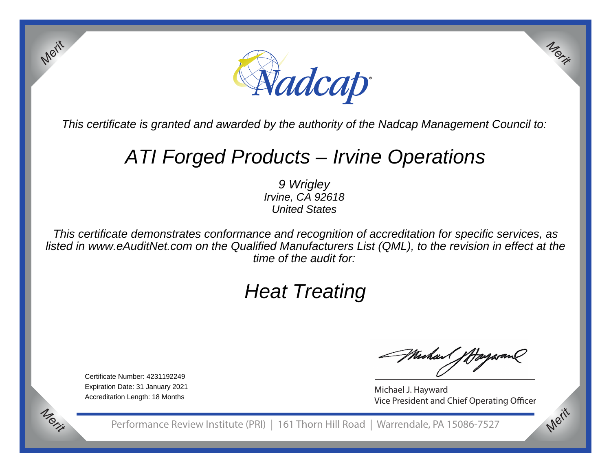

This certificate is granted and awarded by the authority of the Nadcap Management Council to:

# ATI Forged Products – Irvine Operations

9 Wrigley Irvine, CA 92618United States

This certificate demonstrates conformance and recognition of accreditation for specific services, as listed in www.eAuditNet.com on the Qualified Manufacturers List (QML), to the revision in effect at thetime of the audit for:

# Heat Treating

Certificate Number: 4231192249 Expiration Date: 31 January 2021Accreditation Length: 18 Months

*Merit*

*Merit*

MuhaM J

*Merit*

*Merit*

Michael J. Hayward Vice President and Chief Operating Officer

Performance Review Institute (PRI) | 161 Thorn Hill Road | Warrendale, PA 15086-7527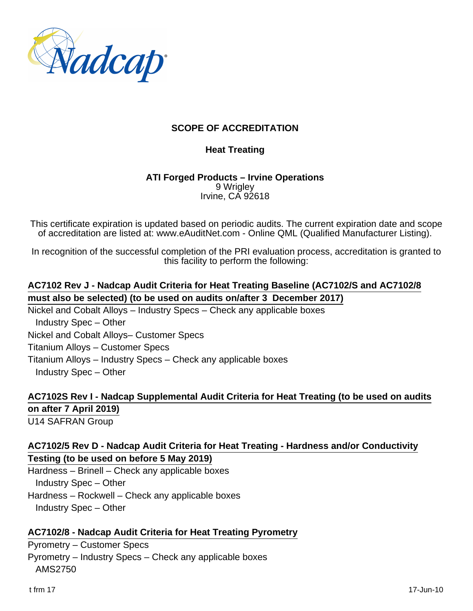

# **SCOPE OF ACCREDITATION**

## **Heat Treating**

#### **ATI Forged Products – Irvine Operations** 9 Wrigley Irvine, CA 92618

This certificate expiration is updated based on periodic audits. The current expiration date and scope of accreditation are listed at: www.eAuditNet.com - Online QML (Qualified Manufacturer Listing).

In recognition of the successful completion of the PRI evaluation process, accreditation is granted to this facility to perform the following:

# **AC7102 Rev J - Nadcap Audit Criteria for Heat Treating Baseline (AC7102/S and AC7102/8 must also be selected) (to be used on audits on/after 3 December 2017)**

Nickel and Cobalt Alloys – Industry Specs – Check any applicable boxes Industry Spec – Other Nickel and Cobalt Alloys– Customer Specs Titanium Alloys – Customer Specs Titanium Alloys – Industry Specs – Check any applicable boxes Industry Spec – Other

# **AC7102S Rev I - Nadcap Supplemental Audit Criteria for Heat Treating (to be used on audits on after 7 April 2019)**

U14 SAFRAN Group

## **AC7102/5 Rev D - Nadcap Audit Criteria for Heat Treating - Hardness and/or Conductivity Testing (to be used on before 5 May 2019)**

Hardness – Brinell – Check any applicable boxes Industry Spec – Other Hardness – Rockwell – Check any applicable boxes Industry Spec – Other

## **AC7102/8 - Nadcap Audit Criteria for Heat Treating Pyrometry**

Pyrometry – Customer Specs Pyrometry – Industry Specs – Check any applicable boxes AMS2750